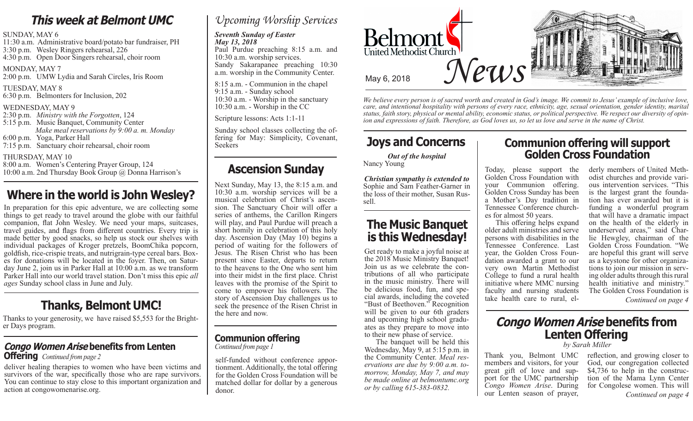### **This week at Belmont UMC**

#### SUNDAY, MAY 6

11:30 a.m. Administrative board/potato bar fundraiser, PH 3:30 p.m. Wesley Ringers rehearsal, 226 4:30 p.m. Open Door Singers rehearsal, choir room

MONDAY, MAY 7 2:00 p.m. UMW Lydia and Sarah Circles, Iris Room

TUESDAY, MAY 8 6:30 p.m. Belmonters for Inclusion, 202

#### WEDNESDAY, MAY 9

2:30 p.m. *Ministry with the Forgotten*, 124 5:15 p.m. Music Banquet, Community Center

- *Make meal reservations by 9:00 a. m. Monday* 6:00 p.m. Yoga, Parker Hall
- 7:15 p.m. Sanctuary choir rehearsal, choir room

#### THURSDAY, MAY 10

8:00 a.m. Women's Centering Prayer Group, 124 10:00 a.m. 2nd Thursday Book Group @ Donna Harrison's

## **Where in the world is John Wesley?**

In preparation for this epic adventure, we are collecting some things to get ready to travel around the globe with our faithful companion, flat John Wesley. We need your maps, suitcases, travel guides, and flags from different countries. Every trip is made better by good snacks, so help us stock our shelves with individual packages of Kroger pretzels, BoomChika popcorn, goldfish, rice-crispie treats, and nutrigrain-type cereal bars. Boxes for donations will be located in the foyer. Then, on Saturday June 2, join us in Parker Hall at 10:00 a.m. as we transform Parker Hall into our world travel station. Don't miss this epic *all ages* Sunday school class in June and July.

## **Thanks, Belmont UMC!**

Thanks to your generosity, we have raised \$5,553 for the Brighter Days program.

### **Congo Women Arise benefits from Lenten Offering** *Continued from page 2*

deliver healing therapies to women who have been victims and survivors of the war, specifically those who are rape survivors. You can continue to stay close to this important organization and action at congowomenarise.org.

### *Upcoming Worship Services*

#### *Seventh Sunday of Easter May 13, 2018*

Paul Purdue preaching 8:15 a.m. and 10:30 a.m. worship services. Sandy Sakarapanee preaching 10:30 a.m. worship in the Community Center.

8:15 a.m. - Communion in the chapel 9:15 a.m. - Sunday school 10:30 a.m. - Worship in the sanctuary 10:30 a.m. - Worship in the CC

Scripture lessons: Acts 1:1-11

Sunday school classes collecting the of-<br>fering for May: Simplicity, Covenant, Seekers

## **Ascension Sunday**

Next Sunday, May 13, the 8:15 a.m. and 10:30 a.m. worship services will be a sion. The Sanctuary Choir will offer a series of anthems, the Carillon Ringers will play, and Paul Purdue will preach a short homily in celebration of this holy day. Ascension Day (May 10) begins a period of waiting for the followers of Jesus. The Risen Christ who has been present since Easter, departs to return to the heavens to the One who sent him into their midst in the first place. Christ leaves with the promise of the Spirit to come to empower his followers. The story of Ascension Day challenges us to seek the presence of the Risen Christ in the here and now.

# *Continued from page 1*

self-funded without conference apportionment. Additionally, the total offering for the Golden Cross Foundation will be matched dollar for dollar by a generous donor.



*We believe every person is of sacred worth and created in God's image. We commit to Jesus' example of inclusive love, care, and intentional hospitality with persons of every race, ethnicity, age, sexual orientation, gender identity, marital status, faith story, physical or mental ability, economic status, or political perspective. We respect our diversity of opinion and expressions of faith. Therefore, as God loves us, so let us love and serve in the name of Christ.*

## **Joys and Concerns**

*Out of the hospital* Nancy Young

*Christian sympathy is extended to* Sophie and Sam Feather-Garner in the loss of their mother, Susan Russell.

### **The Music Banquet is this Wednesday!**

Get ready to make a joyful noise at the 2018 Music Ministry Banquet! Join us as we celebrate the contributions of all who participate in the music ministry. There will be delicious food, fun, and special awards, including the coveted "Bust of Beethoven." Recognition will be given to our 6th graders<br>and upcoming high school graduates as they prepare to move into to their new phase of service.

**Communion offering**<br> *b* the banquet will be held this by Sarah Miller<br> *by Sarah Miller* by Sarah Miller Wednesday, May 9, at 5:15 p.m. in the Community Center. *Meal reservations are due by 9:00 a.m. tomorrow, Monday, May 7, and may be made online at belmontumc.org or by calling 615-383-0832.*

### **Communion offering will support Golden Cross Foundation**

Today, please support the Golden Cross Foundation with your Communion offering. Golden Cross Sunday has been a Mother's Day tradition in Tennessee Conference churches for almost 50 years.

 This offering helps expand older adult ministries and serve persons with disabilities in the Tennessee Conference. Last year, the Golden Cross Foundation awarded a grant to our very own Martin Methodist College to fund a rural health initiative where MMC nursing faculty and nursing students take health care to rural, elderly members of United Meth-<br>odist churches and provide vari-<br>ous intervention services. "This is the largest grant the founda-<br>tion has ever awarded but it is funding a wonderful program that will have a dramatic impact on the health of the elderly in underserved areas," said Charlie Hewgley, chairman of the Golden Cross Foundation. "We are hopeful this grant will serve as a keystone for other organizations to join our mission in serving older adults through this rural health initiative and ministry." The Golden Cross Foundation is

*Continued on page 4*

## **Congo Women Arise benefits from**  Lenten Offering<br>by Sarah Miller

members and visitors, for your<br>great gift of love and support for the UMC partnership *Congo Women Arise*. During our Lenten season of prayer,

*Continued on page 4* Thank you, Belmont UMC reflection, and growing closer to God, our congregation collected \$4,736 to help in the construction of the Mama Lynn Center for Congolese women. This will